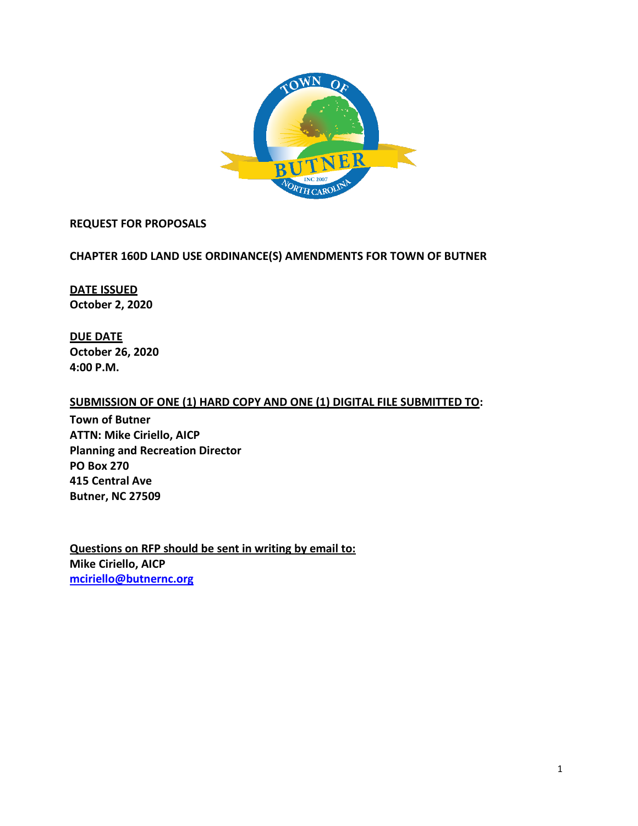

#### **REQUEST FOR PROPOSALS**

#### **CHAPTER 160D LAND USE ORDINANCE(S) AMENDMENTS FOR TOWN OF BUTNER**

**DATE ISSUED October 2, 2020**

**DUE DATE October 26, 2020 4:00 P.M.**

#### **SUBMISSION OF ONE (1) HARD COPY AND ONE (1) DIGITAL FILE SUBMITTED TO:**

**Town of Butner ATTN: Mike Ciriello, AICP Planning and Recreation Director PO Box 270 415 Central Ave Butner, NC 27509**

**Questions on RFP should be sent in writing by email to: Mike Ciriello, AICP [mciriello@butnernc.org](mailto:mciriello@butnernc.org)**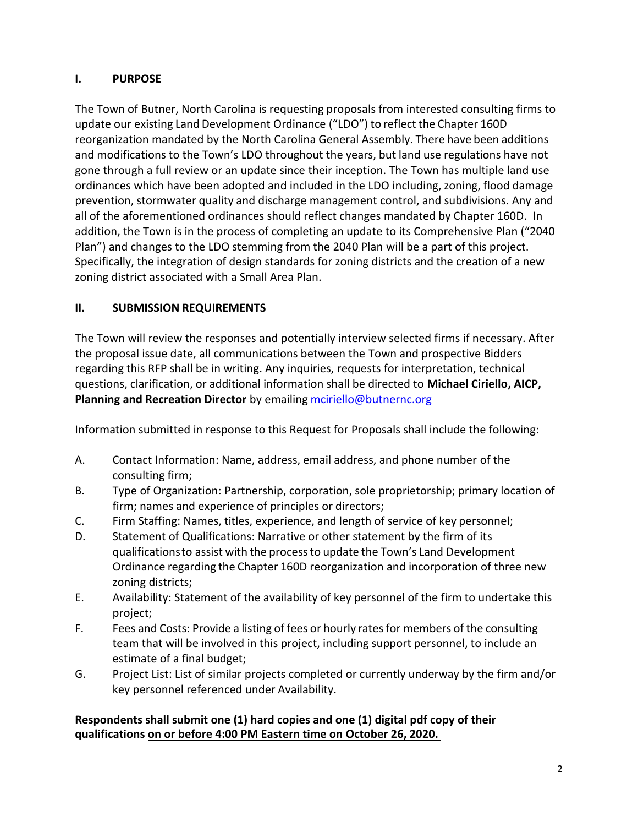# **I. PURPOSE**

The Town of Butner, North Carolina is requesting proposals from interested consulting firms to update our existing Land Development Ordinance ("LDO") to reflect the Chapter 160D reorganization mandated by the North Carolina General Assembly. There have been additions and modifications to the Town's LDO throughout the years, but land use regulations have not gone through a full review or an update since their inception. The Town has multiple land use ordinances which have been adopted and included in the LDO including, zoning, flood damage prevention, stormwater quality and discharge management control, and subdivisions. Any and all of the aforementioned ordinances should reflect changes mandated by Chapter 160D. In addition, the Town is in the process of completing an update to its Comprehensive Plan ("2040 Plan") and changes to the LDO stemming from the 2040 Plan will be a part of this project. Specifically, the integration of design standards for zoning districts and the creation of a new zoning district associated with a Small Area Plan.

# **II. SUBMISSION REQUIREMENTS**

The Town will review the responses and potentially interview selected firms if necessary. After the proposal issue date, all communications between the Town and prospective Bidders regarding this RFP shall be in writing. Any inquiries, requests for interpretation, technical questions, clarification, or additional information shall be directed to **Michael Ciriello, AICP, Planning and Recreation Director** by emailing mciriello@butnernc.org

Information submitted in response to this Request for Proposals shall include the following:

- A. Contact Information: Name, address, email address, and phone number of the consulting firm;
- B. Type of Organization: Partnership, corporation, sole proprietorship; primary location of firm; names and experience of principles or directors;
- C. Firm Staffing: Names, titles, experience, and length of service of key personnel;
- D. Statement of Qualifications: Narrative or other statement by the firm of its qualificationsto assist with the processto update the Town's Land Development Ordinance regarding the Chapter 160D reorganization and incorporation of three new zoning districts;
- E. Availability: Statement of the availability of key personnel of the firm to undertake this project;
- F. Fees and Costs: Provide a listing of fees or hourly rates for members of the consulting team that will be involved in this project, including support personnel, to include an estimate of a final budget;
- G. Project List: List of similar projects completed or currently underway by the firm and/or key personnel referenced under Availability.

# **Respondents shall submit one (1) hard copies and one (1) digital pdf copy of their qualifications on or before 4:00 PM Eastern time on October 26, 2020.**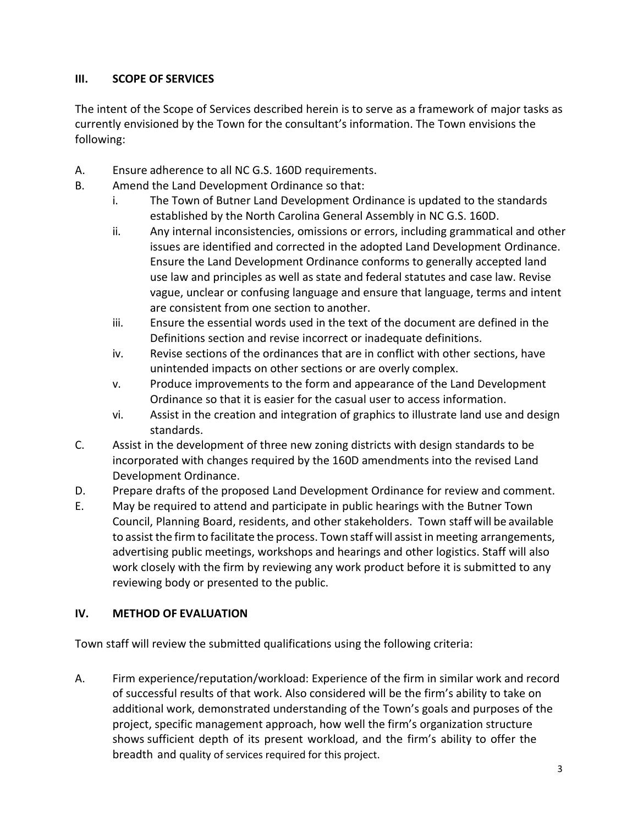# **III. SCOPE OF SERVICES**

The intent of the Scope of Services described herein is to serve as a framework of major tasks as currently envisioned by the Town for the consultant's information. The Town envisions the following:

- A. Ensure adherence to all NC G.S. 160D requirements.
- B. Amend the Land Development Ordinance so that:
	- i. The Town of Butner Land Development Ordinance is updated to the standards established by the North Carolina General Assembly in NC G.S. 160D.
	- ii. Any internal inconsistencies, omissions or errors, including grammatical and other issues are identified and corrected in the adopted Land Development Ordinance. Ensure the Land Development Ordinance conforms to generally accepted land use law and principles as well as state and federal statutes and case law. Revise vague, unclear or confusing language and ensure that language, terms and intent are consistent from one section to another.
	- iii. Ensure the essential words used in the text of the document are defined in the Definitions section and revise incorrect or inadequate definitions.
	- iv. Revise sections of the ordinances that are in conflict with other sections, have unintended impacts on other sections or are overly complex.
	- v. Produce improvements to the form and appearance of the Land Development Ordinance so that it is easier for the casual user to access information.
	- vi. Assist in the creation and integration of graphics to illustrate land use and design standards.
- C. Assist in the development of three new zoning districts with design standards to be incorporated with changes required by the 160D amendments into the revised Land Development Ordinance.
- D. Prepare drafts of the proposed Land Development Ordinance for review and comment.
- E. May be required to attend and participate in public hearings with the Butner Town Council, Planning Board, residents, and other stakeholders. Town staff will be available to assist the firm to facilitate the process. Town staff will assist in meeting arrangements, advertising public meetings, workshops and hearings and other logistics. Staff will also work closely with the firm by reviewing any work product before it is submitted to any reviewing body or presented to the public.

## **IV. METHOD OF EVALUATION**

Town staff will review the submitted qualifications using the following criteria:

A. Firm experience/reputation/workload: Experience of the firm in similar work and record of successful results of that work. Also considered will be the firm's ability to take on additional work, demonstrated understanding of the Town's goals and purposes of the project, specific management approach, how well the firm's organization structure shows sufficient depth of its present workload, and the firm's ability to offer the breadth and quality of services required for this project.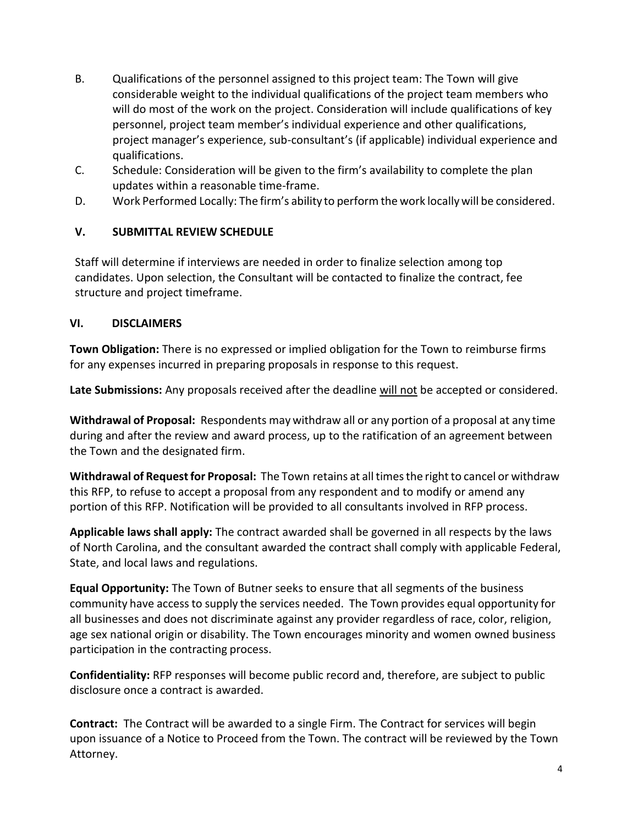- B. Qualifications of the personnel assigned to this project team: The Town will give considerable weight to the individual qualifications of the project team members who will do most of the work on the project. Consideration will include qualifications of key personnel, project team member's individual experience and other qualifications, project manager's experience, sub-consultant's (if applicable) individual experience and qualifications.
- C. Schedule: Consideration will be given to the firm's availability to complete the plan updates within a reasonable time-frame.
- D. Work Performed Locally: The firm's ability to perform the work locallywill be considered.

## **V. SUBMITTAL REVIEW SCHEDULE**

Staff will determine if interviews are needed in order to finalize selection among top candidates. Upon selection, the Consultant will be contacted to finalize the contract, fee structure and project timeframe.

## **VI. DISCLAIMERS**

**Town Obligation:** There is no expressed or implied obligation for the Town to reimburse firms for any expenses incurred in preparing proposals in response to this request.

**Late Submissions:** Any proposals received after the deadline will not be accepted or considered.

**Withdrawal of Proposal:** Respondents may withdraw all or any portion of a proposal at any time during and after the review and award process, up to the ratification of an agreement between the Town and the designated firm.

**Withdrawal of Request for Proposal:** The Town retains at all times the right to cancel or withdraw this RFP, to refuse to accept a proposal from any respondent and to modify or amend any portion of this RFP. Notification will be provided to all consultants involved in RFP process.

**Applicable laws shall apply:** The contract awarded shall be governed in all respects by the laws of North Carolina, and the consultant awarded the contract shall comply with applicable Federal, State, and local laws and regulations.

**Equal Opportunity:** The Town of Butner seeks to ensure that all segments of the business community have accessto supply the services needed. The Town provides equal opportunity for all businesses and does not discriminate against any provider regardless of race, color, religion, age sex national origin or disability. The Town encourages minority and women owned business participation in the contracting process.

**Confidentiality:** RFP responses will become public record and, therefore, are subject to public disclosure once a contract is awarded.

**Contract:** The Contract will be awarded to a single Firm. The Contract for services will begin upon issuance of a Notice to Proceed from the Town. The contract will be reviewed by the Town Attorney.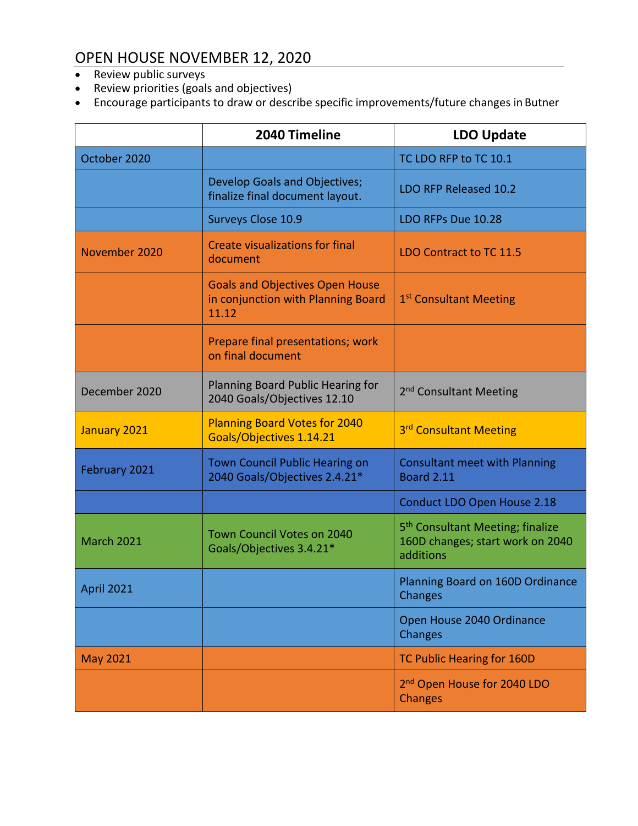# OPEN HOUSE NOVEMBER 12, 2020

- Review public surveys
- Review priorities (goals and objectives)
- Encourage participants to draw or describe specific improvements/future changes in Butner

|                   | 2040 Timeline                                                                         | <b>LDO Update</b>                                                                             |
|-------------------|---------------------------------------------------------------------------------------|-----------------------------------------------------------------------------------------------|
| October 2020      |                                                                                       | TC LDO RFP to TC 10.1                                                                         |
|                   | Develop Goals and Objectives;<br>finalize final document layout.                      | LDO RFP Released 10.2                                                                         |
|                   | Surveys Close 10.9                                                                    | LDO RFPs Due 10.28                                                                            |
| November 2020     | <b>Create visualizations for final</b><br>document                                    | LDO Contract to TC 11.5                                                                       |
|                   | <b>Goals and Objectives Open House</b><br>in conjunction with Planning Board<br>11.12 | 1 <sup>st</sup> Consultant Meeting                                                            |
|                   | Prepare final presentations; work<br>on final document                                |                                                                                               |
| December 2020     | Planning Board Public Hearing for<br>2040 Goals/Objectives 12.10                      | 2 <sup>nd</sup> Consultant Meeting                                                            |
| January 2021      | <b>Planning Board Votes for 2040</b><br>Goals/Objectives 1.14.21                      | 3rd Consultant Meeting                                                                        |
| February 2021     | Town Council Public Hearing on<br>2040 Goals/Objectives 2.4.21*                       | <b>Consultant meet with Planning</b><br><b>Board 2.11</b>                                     |
|                   |                                                                                       | Conduct LDO Open House 2.18                                                                   |
| <b>March 2021</b> | Town Council Votes on 2040<br>Goals/Objectives 3.4.21*                                | 5 <sup>th</sup> Consultant Meeting; finalize<br>160D changes; start work on 2040<br>additions |
| <b>April 2021</b> |                                                                                       | Planning Board on 160D Ordinance<br>Changes                                                   |
|                   |                                                                                       | Open House 2040 Ordinance<br>Changes                                                          |
| <b>May 2021</b>   |                                                                                       | TC Public Hearing for 160D                                                                    |
|                   |                                                                                       | 2 <sup>nd</sup> Open House for 2040 LDO<br><b>Changes</b>                                     |